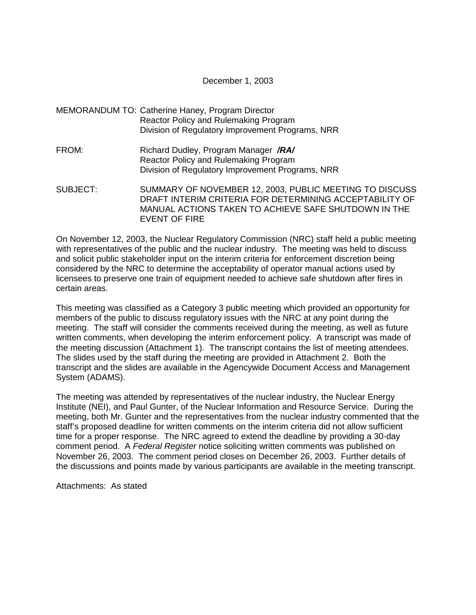December 1, 2003

- MEMORANDUM TO: Catherine Haney, Program Director Reactor Policy and Rulemaking Program Division of Regulatory Improvement Programs, NRR
- FROM: Richard Dudley, Program Manager **/RA/** Reactor Policy and Rulemaking Program Division of Regulatory Improvement Programs, NRR
- SUBJECT: SUMMARY OF NOVEMBER 12, 2003, PUBLIC MEETING TO DISCUSS DRAFT INTERIM CRITERIA FOR DETERMINING ACCEPTABILITY OF MANUAL ACTIONS TAKEN TO ACHIEVE SAFE SHUTDOWN IN THE EVENT OF FIRE

On November 12, 2003, the Nuclear Regulatory Commission (NRC) staff held a public meeting with representatives of the public and the nuclear industry. The meeting was held to discuss and solicit public stakeholder input on the interim criteria for enforcement discretion being considered by the NRC to determine the acceptability of operator manual actions used by licensees to preserve one train of equipment needed to achieve safe shutdown after fires in certain areas.

This meeting was classified as a Category 3 public meeting which provided an opportunity for members of the public to discuss regulatory issues with the NRC at any point during the meeting. The staff will consider the comments received during the meeting, as well as future written comments, when developing the interim enforcement policy. A transcript was made of the meeting discussion (Attachment 1). The transcript contains the list of meeting attendees. The slides used by the staff during the meeting are provided in Attachment 2. Both the transcript and the slides are available in the Agencywide Document Access and Management System (ADAMS).

The meeting was attended by representatives of the nuclear industry, the Nuclear Energy Institute (NEI), and Paul Gunter, of the Nuclear Information and Resource Service. During the meeting, both Mr. Gunter and the representatives from the nuclear industry commented that the staff's proposed deadline for written comments on the interim criteria did not allow sufficient time for a proper response. The NRC agreed to extend the deadline by providing a 30-day comment period. A Federal Register notice soliciting written comments was published on November 26, 2003. The comment period closes on December 26, 2003. Further details of the discussions and points made by various participants are available in the meeting transcript.

Attachments: As stated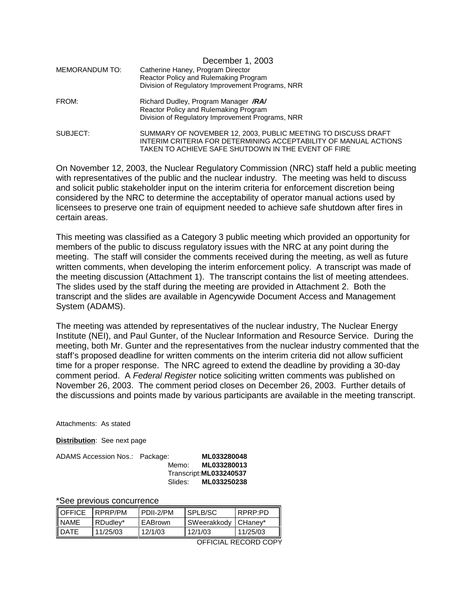| MEMORANDUM TO: | December 1, 2003<br>Catherine Haney, Program Director<br>Reactor Policy and Rulemaking Program<br>Division of Regulatory Improvement Programs, NRR                                       |
|----------------|------------------------------------------------------------------------------------------------------------------------------------------------------------------------------------------|
| FROM:          | Richard Dudley, Program Manager /RA/<br>Reactor Policy and Rulemaking Program<br>Division of Regulatory Improvement Programs, NRR                                                        |
| SUBJECT:       | SUMMARY OF NOVEMBER 12, 2003, PUBLIC MEETING TO DISCUSS DRAFT<br>INTERIM CRITERIA FOR DETERMINING ACCEPTABILITY OF MANUAL ACTIONS<br>TAKEN TO ACHIEVE SAFE SHUTDOWN IN THE EVENT OF FIRE |

On November 12, 2003, the Nuclear Regulatory Commission (NRC) staff held a public meeting with representatives of the public and the nuclear industry. The meeting was held to discuss and solicit public stakeholder input on the interim criteria for enforcement discretion being considered by the NRC to determine the acceptability of operator manual actions used by licensees to preserve one train of equipment needed to achieve safe shutdown after fires in certain areas.

This meeting was classified as a Category 3 public meeting which provided an opportunity for members of the public to discuss regulatory issues with the NRC at any point during the meeting. The staff will consider the comments received during the meeting, as well as future written comments, when developing the interim enforcement policy. A transcript was made of the meeting discussion (Attachment 1). The transcript contains the list of meeting attendees. The slides used by the staff during the meeting are provided in Attachment 2. Both the transcript and the slides are available in Agencywide Document Access and Management System (ADAMS).

The meeting was attended by representatives of the nuclear industry, The Nuclear Energy Institute (NEI), and Paul Gunter, of the Nuclear Information and Resource Service. During the meeting, both Mr. Gunter and the representatives from the nuclear industry commented that the staff's proposed deadline for written comments on the interim criteria did not allow sufficient time for a proper response. The NRC agreed to extend the deadline by providing a 30-day comment period. A Federal Register notice soliciting written comments was published on November 26, 2003. The comment period closes on December 26, 2003. Further details of the discussions and points made by various participants are available in the meeting transcript.

Attachments: As stated

**Distribution**: See next page

| ADAMS Accession Nos.: Package: |         | ML033280048             |
|--------------------------------|---------|-------------------------|
|                                | Memo:   | ML033280013             |
|                                |         | Transcript: ML033240537 |
|                                | Slides: | ML033250238             |

\*See previous concurrence

| <b>I</b> OFFICE | RPRP/PM  | I PDII-2/PM | I SPLB/SC   | I RPRP∙PD. |
|-----------------|----------|-------------|-------------|------------|
| <b>NAME</b>     | RDudlev* | EABrown     | SWeerakkodv | I CHanev*  |
| <b>I</b> DATE   | 11/25/03 | 12/1/03     | 12/1/03     | 11/25/03   |
| DECOPD COP      |          |             |             |            |

OFFICIAL RECORD COPY